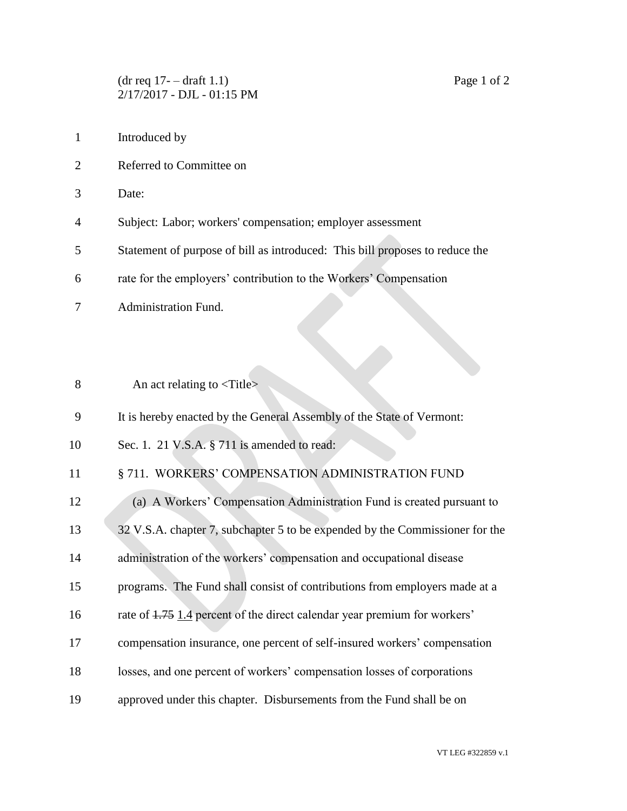$(\text{dr} \text{ req } 17 - \text{draf } 1.1)$  Page 1 of 2 2/17/2017 - DJL - 01:15 PM

- Introduced by
- Referred to Committee on
- Date:
- Subject: Labor; workers' compensation; employer assessment
- Statement of purpose of bill as introduced: This bill proposes to reduce the
- rate for the employers' contribution to the Workers' Compensation
- Administration Fund.
- 8 An act relating to  $\langle\text{Title}\rangle$
- It is hereby enacted by the General Assembly of the State of Vermont:
- 10 Sec. 1. 21 V.S.A. § 711 is amended to read:
- 11 § 711. WORKERS' COMPENSATION ADMINISTRATION FUND
- (a) A Workers' Compensation Administration Fund is created pursuant to
- 13 32 V.S.A. chapter 7, subchapter 5 to be expended by the Commissioner for the
- administration of the workers' compensation and occupational disease
- programs. The Fund shall consist of contributions from employers made at a
- rate of 1.75 1.4 percent of the direct calendar year premium for workers'
- compensation insurance, one percent of self-insured workers' compensation
- losses, and one percent of workers' compensation losses of corporations
- approved under this chapter. Disbursements from the Fund shall be on